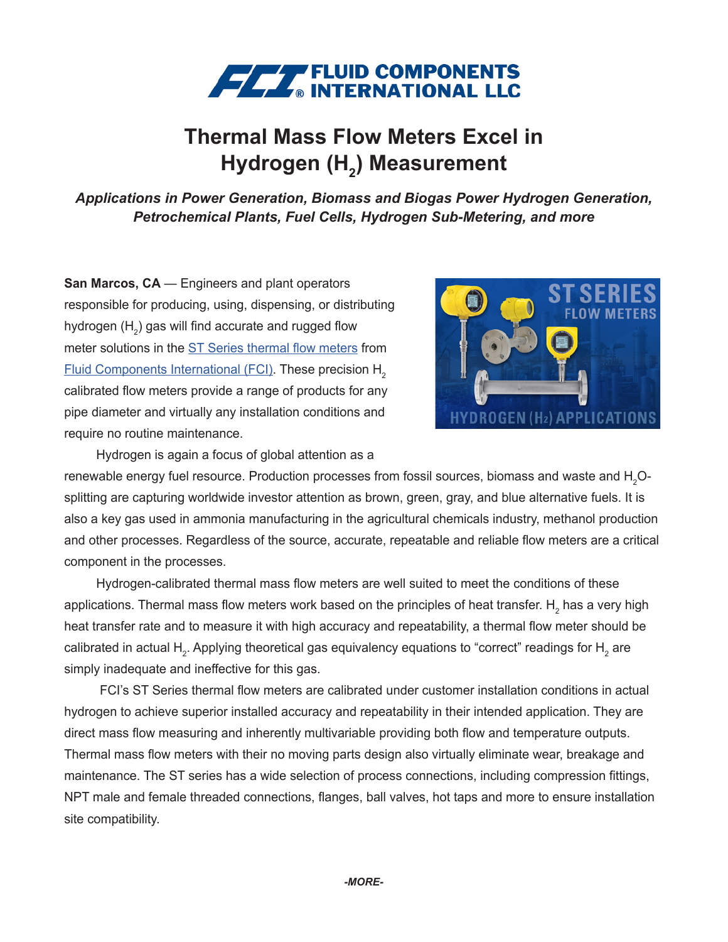

## **Thermal Mass Flow Meters Excel in Hydrogen (H2 ) Measurement**

*Applications in Power Generation, Biomass and Biogas Power Hydrogen Generation, Petrochemical Plants, Fuel Cells, Hydrogen Sub-Metering, and more*

**San Marcos, CA** — Engineers and plant operators responsible for producing, using, dispensing, or distributing hydrogen (H $_{\textrm{\tiny{2}}}$ ) gas will find accurate and rugged flow meter solutions in the [ST Series thermal flow meters](https://www.fluidcomponents.com/products/mass-flow-meters) from [Fluid Components International \(FCI\).](https://www.fluidcomponents.com) These precision H<sub>2</sub> calibrated flow meters provide a range of products for any pipe diameter and virtually any installation conditions and require no routine maintenance.



Hydrogen is again a focus of global attention as a

renewable energy fuel resource. Production processes from fossil sources, biomass and waste and  ${\sf H_2O\text{-}}$ splitting are capturing worldwide investor attention as brown, green, gray, and blue alternative fuels. It is also a key gas used in ammonia manufacturing in the agricultural chemicals industry, methanol production and other processes. Regardless of the source, accurate, repeatable and reliable flow meters are a critical component in the processes.

Hydrogen-calibrated thermal mass flow meters are well suited to meet the conditions of these applications. Thermal mass flow meters work based on the principles of heat transfer.  $\mathsf{H}_{_2}$  has a very high heat transfer rate and to measure it with high accuracy and repeatability, a thermal flow meter should be calibrated in actual H<sub>2</sub>. Applying theoretical gas equivalency equations to "correct" readings for H<sub>2</sub> are simply inadequate and ineffective for this gas.

 FCI's ST Series thermal flow meters are calibrated under customer installation conditions in actual hydrogen to achieve superior installed accuracy and repeatability in their intended application. They are direct mass flow measuring and inherently multivariable providing both flow and temperature outputs. Thermal mass flow meters with their no moving parts design also virtually eliminate wear, breakage and maintenance. The ST series has a wide selection of process connections, including compression fittings, NPT male and female threaded connections, flanges, ball valves, hot taps and more to ensure installation site compatibility.